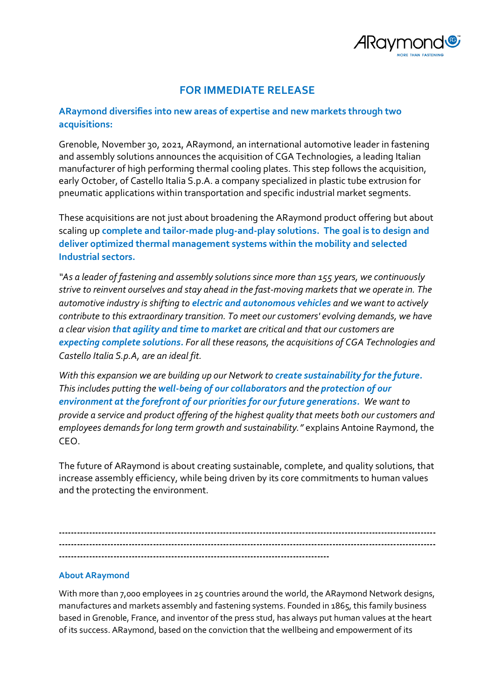

## **FOR IMMEDIATE RELEASE**

## **ARaymond diversifies into new areas of expertise and new markets through two acquisitions:**

Grenoble, November 30, 2021, ARaymond, an international automotive leader in fastening and assembly solutions announces the acquisition of CGA Technologies, a leading Italian manufacturer of high performing thermal cooling plates. This step follows the acquisition, early October, of Castello Italia S.p.A. a company specialized in plastic tube extrusion for pneumatic applications within transportation and specific industrial market segments.

These acquisitions are not just about broadening the ARaymond product offering but about scaling up **complete and tailor-made plug-and-play solutions. The goal is to design and deliver optimized thermal management systems within the mobility and selected Industrial sectors.**

*"As a leader of fastening and assembly solutions since more than 155 years, we continuously strive to reinvent ourselves and stay ahead in the fast-moving markets that we operate in. The automotive industry is shifting to electric and autonomous vehicles and we want to actively contribute to this extraordinary transition. To meet our customers' evolving demands, we have a clear vision that agility and time to market are critical and that our customers are expecting complete solutions. For all these reasons, the acquisitions of CGA Technologies and Castello Italia S.p.A, are an ideal fit.*

*With this expansion we are building up our Network to create sustainability for the future. This includes putting the well-being of our collaborators and the protection of our environment at the forefront of our priorities for our future generations. We want to provide a service and product offering of the highest quality that meets both our customers and employees demands for long term growth and sustainability."* explains Antoine Raymond, the CEO.

The future of ARaymond is about creating sustainable, complete, and quality solutions, that increase assembly efficiency, while being driven by its core commitments to human values and the protecting the environment.

**---------------------------------------------------------------------------------------------------------------------------- ---------------------------------------------------------------------------------------------------------------------------- -----------------------------------------------------------------------------------------**

## **About ARaymond**

With more than 7,000 employees in 25 countries around the world, the ARaymond Network designs, manufactures and markets assembly and fastening systems. Founded in 1865, this family business based in Grenoble, France, and inventor of the press stud, has always put human values at the heart of its success. ARaymond, based on the conviction that the wellbeing and empowerment of its